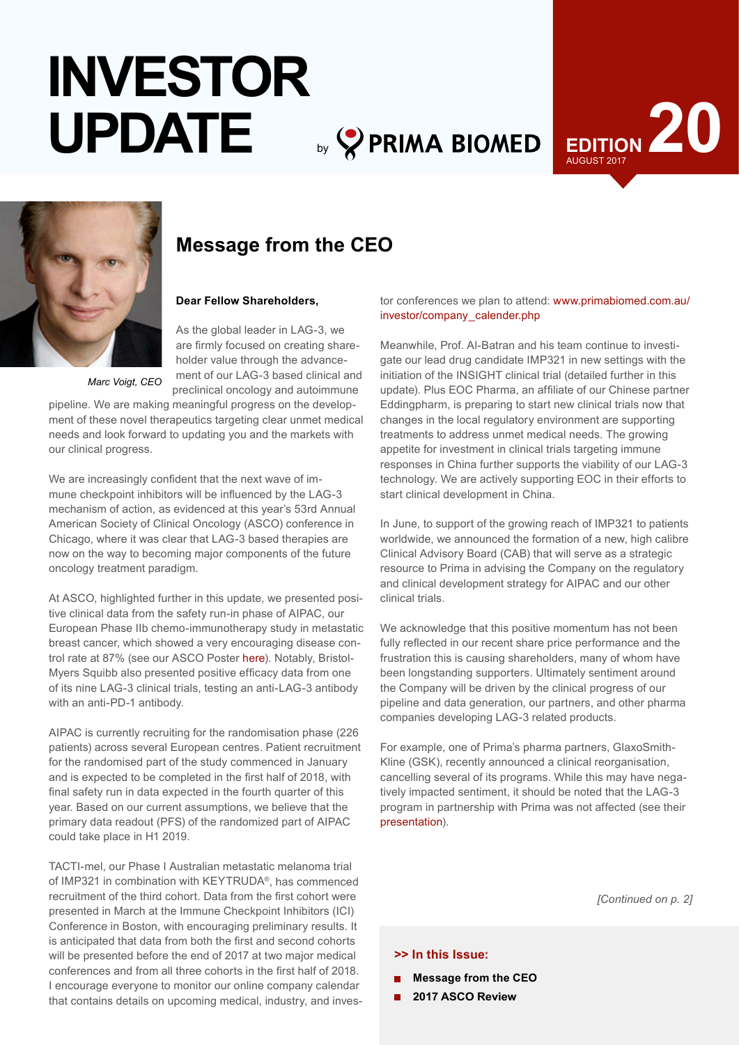# by **PRIMA BIOMED INVESTOR UPDATE**





# **Message from the CEO**

### **Dear Fellow Shareholders,**

As the global leader in LAG-3, we are firmly focused on creating shareholder value through the advancement of our LAG-3 based clinical and preclinical oncology and autoimmune

*Marc Voigt, CEO*

pipeline. We are making meaningful progress on the development of these novel therapeutics targeting clear unmet medical needs and look forward to updating you and the markets with our clinical progress.

We are increasingly confident that the next wave of immune checkpoint inhibitors will be influenced by the LAG-3 mechanism of action, as evidenced at this year's 53rd Annual American Society of Clinical Oncology (ASCO) conference in Chicago, where it was clear that LAG-3 based therapies are now on the way to becoming major components of the future oncology treatment paradigm.

At ASCO, highlighted further in this update, we presented positive clinical data from the safety run-in phase of AIPAC, our European Phase IIb chemo-immunotherapy study in metastatic breast cancer, which showed a very encouraging disease control rate at 87% (see our ASCO Poster [here](http://www.primabiomed.com.au/media/2017-05-30_AIPAC_PosterASCO_V4final.pdf)). Notably, Bristol-Myers Squibb also presented positive efficacy data from one of its nine LAG-3 clinical trials, testing an anti-LAG-3 antibody with an anti-PD-1 antibody.

AIPAC is currently recruiting for the randomisation phase (226 patients) across several European centres. Patient recruitment for the randomised part of the study commenced in January and is expected to be completed in the first half of 2018, with final safety run in data expected in the fourth quarter of this year. Based on our current assumptions, we believe that the primary data readout (PFS) of the randomized part of AIPAC could take place in H1 2019.

TACTI-mel, our Phase I Australian metastatic melanoma trial of IMP321 in combination with KEYTRUDA®, has commenced recruitment of the third cohort. Data from the first cohort were presented in March at the Immune Checkpoint Inhibitors (ICI) Conference in Boston, with encouraging preliminary results. It is anticipated that data from both the first and second cohorts will be presented before the end of 2017 at two major medical conferences and from all three cohorts in the first half of 2018. I encourage everyone to monitor our online company calendar that contains details on upcoming medical, industry, and inves-

tor conferences we plan to attend: [www.primabiomed.com.au/](http://www.primabiomed.com.au/investor/company_calender.php) [investor/company\\_calender.php](http://www.primabiomed.com.au/investor/company_calender.php)

Meanwhile, Prof. Al-Batran and his team continue to investigate our lead drug candidate IMP321 in new settings with the initiation of the INSIGHT clinical trial (detailed further in this update). Plus EOC Pharma, an affiliate of our Chinese partner Eddingpharm, is preparing to start new clinical trials now that changes in the local regulatory environment are supporting treatments to address unmet medical needs. The growing appetite for investment in clinical trials targeting immune responses in China further supports the viability of our LAG-3 technology. We are actively supporting EOC in their efforts to start clinical development in China.

In June, to support of the growing reach of IMP321 to patients worldwide, we announced the formation of a new, high calibre Clinical Advisory Board (CAB) that will serve as a strategic resource to Prima in advising the Company on the regulatory and clinical development strategy for AIPAC and our other clinical trials.

We acknowledge that this positive momentum has not been fully reflected in our recent share price performance and the frustration this is causing shareholders, many of whom have been longstanding supporters. Ultimately sentiment around the Company will be driven by the clinical progress of our pipeline and data generation, our partners, and other pharma companies developing LAG-3 related products.

For example, one of Prima's pharma partners, GlaxoSmith-Kline (GSK), recently announced a clinical reorganisation, cancelling several of its programs. While this may have negatively impacted sentiment, it should be noted that the LAG-3 program in partnership with Prima was not affected (see their [presentation](http://www.gsk.com/media/3870/emma-walmsley-slides-key-priorities.pdf)).

*[Continued on p. 2]*

### **>> In this Issue:**

- **Message from the CEO**
- **2017 ASCO Review**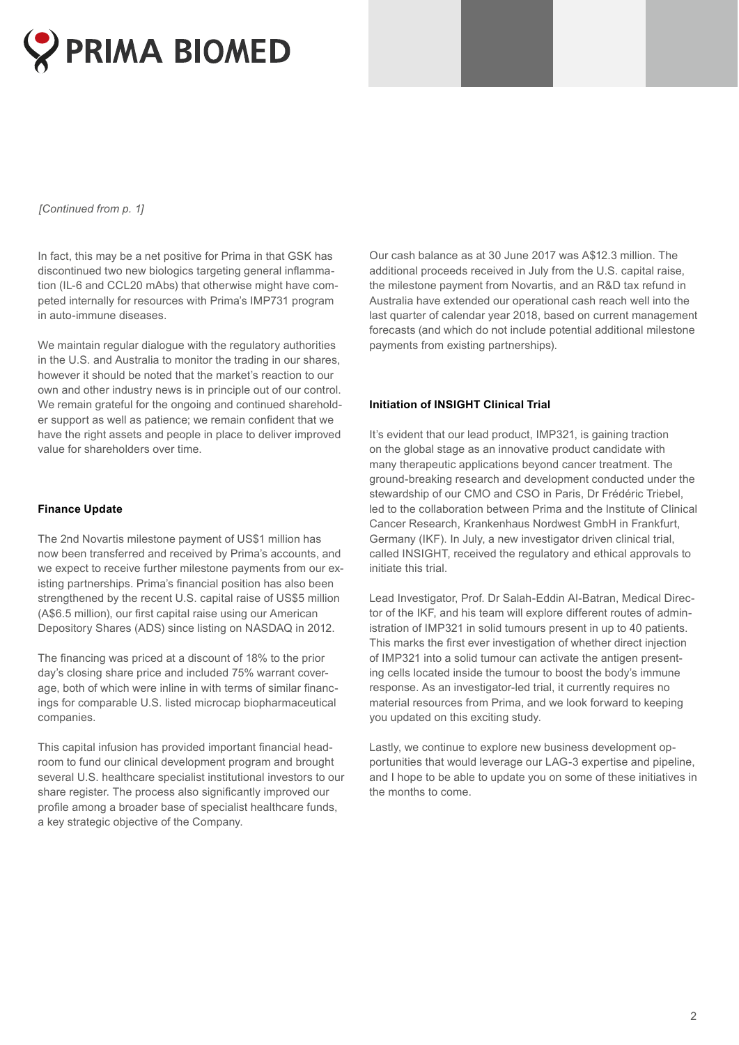

### *[Continued from p. 1]*

In fact, this may be a net positive for Prima in that GSK has discontinued two new biologics targeting general inflammation (IL-6 and CCL20 mAbs) that otherwise might have competed internally for resources with Prima's IMP731 program in auto-immune diseases.

We maintain regular dialogue with the regulatory authorities in the U.S. and Australia to monitor the trading in our shares, however it should be noted that the market's reaction to our own and other industry news is in principle out of our control. We remain grateful for the ongoing and continued shareholder support as well as patience; we remain confident that we have the right assets and people in place to deliver improved value for shareholders over time.

### **Finance Update**

The 2nd Novartis milestone payment of US\$1 million has now been transferred and received by Prima's accounts, and we expect to receive further milestone payments from our existing partnerships. Prima's financial position has also been strengthened by the recent U.S. capital raise of US\$5 million (A\$6.5 million), our first capital raise using our American Depository Shares (ADS) since listing on NASDAQ in 2012.

The financing was priced at a discount of 18% to the prior day's closing share price and included 75% warrant coverage, both of which were inline in with terms of similar financings for comparable U.S. listed microcap biopharmaceutical companies.

This capital infusion has provided important financial headroom to fund our clinical development program and brought several U.S. healthcare specialist institutional investors to our share register. The process also significantly improved our profile among a broader base of specialist healthcare funds, a key strategic objective of the Company.

Our cash balance as at 30 June 2017 was A\$12.3 million. The additional proceeds received in July from the U.S. capital raise, the milestone payment from Novartis, and an R&D tax refund in Australia have extended our operational cash reach well into the last quarter of calendar year 2018, based on current management forecasts (and which do not include potential additional milestone payments from existing partnerships).

### **Initiation of INSIGHT Clinical Trial**

It's evident that our lead product, IMP321, is gaining traction on the global stage as an innovative product candidate with many therapeutic applications beyond cancer treatment. The ground-breaking research and development conducted under the stewardship of our CMO and CSO in Paris, Dr Frédéric Triebel, led to the collaboration between Prima and the Institute of Clinical Cancer Research, Krankenhaus Nordwest GmbH in Frankfurt, Germany (IKF). In July, a new investigator driven clinical trial, called INSIGHT, received the regulatory and ethical approvals to initiate this trial.

Lead Investigator, Prof. Dr Salah-Eddin Al-Batran, Medical Director of the IKF, and his team will explore different routes of administration of IMP321 in solid tumours present in up to 40 patients. This marks the first ever investigation of whether direct injection of IMP321 into a solid tumour can activate the antigen presenting cells located inside the tumour to boost the body's immune response. As an investigator-led trial, it currently requires no material resources from Prima, and we look forward to keeping you updated on this exciting study.

Lastly, we continue to explore new business development opportunities that would leverage our LAG-3 expertise and pipeline, and I hope to be able to update you on some of these initiatives in the months to come.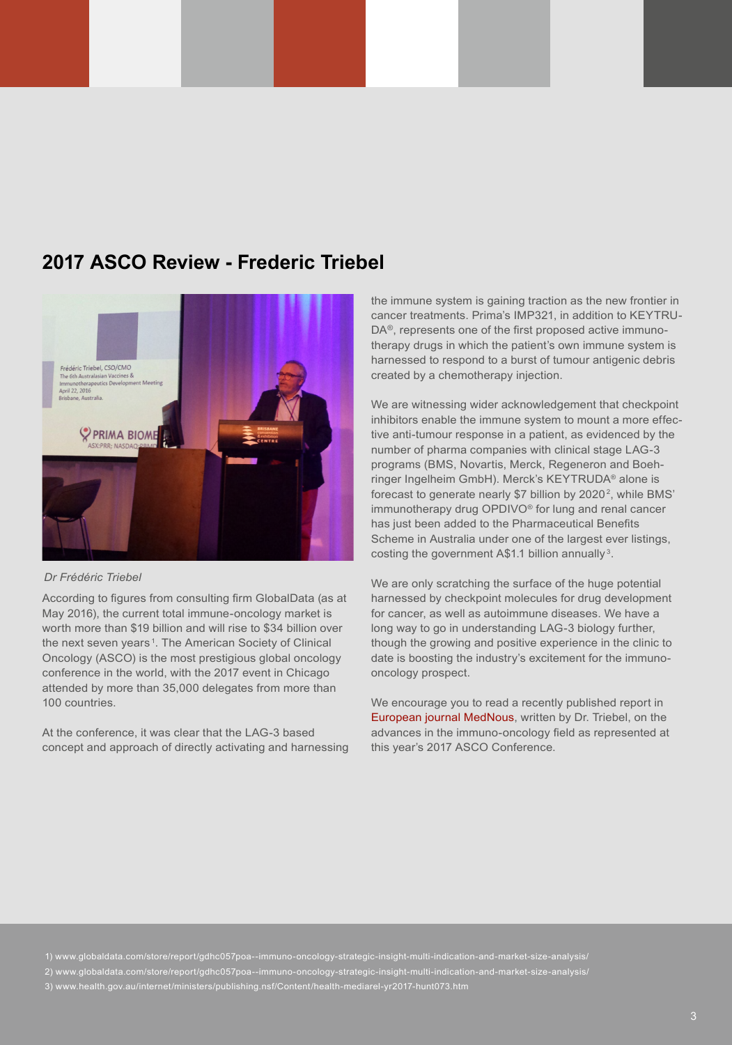### **2017 ASCO Review - Frederic Triebel**



#### *Dr Frédéric Triebel*

According to figures from consulting firm GlobalData (as at May 2016), the current total immune-oncology market is worth more than \$19 billion and will rise to \$34 billion over the next seven years<sup>[1](http://www.globaldata.com/store/report/gdhc057poa--immuno-oncology-strategic-insight-multi-indication-and-market-size-analysis/)</sup>. The American Society of Clinical Oncology (ASCO) is the most prestigious global oncology conference in the world, with the 2017 event in Chicago attended by more than 35,000 delegates from more than 100 countries.

At the conference, it was clear that the LAG-3 based concept and approach of directly activating and harnessing the immune system is gaining traction as the new frontier in cancer treatments. Prima's IMP321, in addition to KEYTRU-DA®, represents one of the first proposed active immunotherapy drugs in which the patient's own immune system is harnessed to respond to a burst of tumour antigenic debris created by a chemotherapy injection.

We are witnessing wider acknowledgement that checkpoint inhibitors enable the immune system to mount a more effective anti-tumour response in a patient, as evidenced by the number of pharma companies with clinical stage LAG-3 programs (BMS, Novartis, Merck, Regeneron and Boehringer Ingelheim GmbH). Merck's KEYTRUDA® alone is forecast to generate nearly \$7 billion by 2020<sup>2</sup>, while BMS' immunotherapy drug OPDIVO® for lung and renal cancer has just been added to the Pharmaceutical Benefits Scheme in Australia under one of the largest ever listings, costing the government A\$1.1 billion annually [3](http://www.health.gov.au/internet/ministers/publishing.nsf/Content/health-mediarel-yr2017-hunt073.htm).

We are only scratching the surface of the huge potential harnessed by checkpoint molecules for drug development for cancer, as well as autoimmune diseases. We have a long way to go in understanding LAG-3 biology further, though the growing and positive experience in the clinic to date is boosting the industry's excitement for the immunooncology prospect.

We encourage you to read a recently published report in [European journal MedNous](http://www.mednous.com/sites/default/files/Triebel%20LAG-3%20JulAug2017.pdf), written by Dr. Triebel, on the advances in the immuno-oncology field as represented at this year's 2017 ASCO Conference.

1) [www.globaldata.com/store/report/gdhc057poa--immuno-oncology-strategic-insight-multi-indication-and-market-size-analysis/](http://www.globaldata.com/store/report/gdhc057poa--immuno-oncology-strategic-insight-multi-indication-and-market-size-analysis/)

2) [www.globaldata.com/store/report/gdhc057poa--immuno-oncology-strategic-insight-multi-indication-and-market-size-analysis/](http://www.globaldata.com/store/report/gdhc057poa--immuno-oncology-strategic-insight-multi-indication-and-market-size-analysis/)

3) [www.health.gov.au/internet/ministers/publishing.nsf/Content/health-mediarel-yr2017-hunt073.htm](http://www.health.gov.au/internet/ministers/publishing.nsf/Content/health-mediarel-yr2017-hunt073.htm)